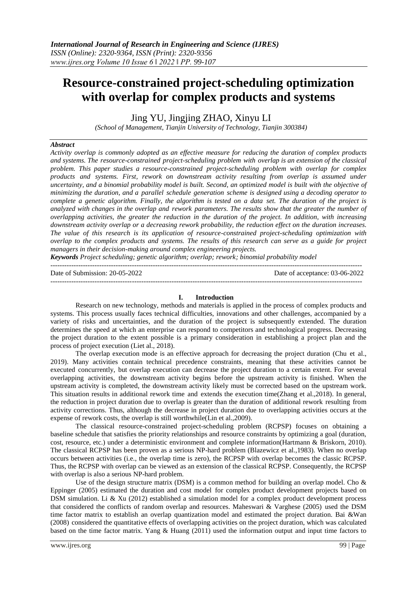# **Resource-constrained project-scheduling optimization with overlap for complex products and systems**

Jing YU, Jingjing ZHAO, Xinyu LI

*(School of Management, Tianjin University of Technology, Tianjin 300384)*

## *Abstract*

*Activity overlap is commonly adopted as an effective measure for reducing the duration of complex products and systems. The resource-constrained project-scheduling problem with overlap is an extension of the classical problem. This paper studies a resource-constrained project-scheduling problem with overlap for complex products and systems. First, rework on downstream activity resulting from overlap is assumed under uncertainty, and a binomial probability model is built. Second, an optimized model is built with the objective of minimizing the duration, and a parallel schedule generation scheme is designed using a decoding operator to complete a genetic algorithm. Finally, the algorithm is tested on a data set. The duration of the project is analyzed with changes in the overlap and rework parameters. The results show that the greater the number of overlapping activities, the greater the reduction in the duration of the project. In addition, with increasing downstream activity overlap or a decreasing rework probability, the reduction effect on the duration increases. The value of this research is its application of resource-constrained project-scheduling optimization with overlap to the complex products and systems. The results of this research can serve as a guide for project managers in their decision-making around complex engineering projects.*

*Keywords Project scheduling; genetic algorithm; overlap; rework; binomial probability model*

Date of Submission: 20-05-2022 Date of acceptance: 03-06-2022

--------------------------------------------------------------------------------------------------------------------------------------

--------------------------------------------------------------------------------------------------------------------------------------

#### **I. Introduction**

Research on new technology, methods and materials is applied in the process of complex products and systems. This process usually faces technical difficulties, innovations and other challenges, accompanied by a variety of risks and uncertainties, and the duration of the project is subsequently extended. The duration determines the speed at which an enterprise can respond to competitors and technological progress. Decreasing the project duration to the extent possible is a primary consideration in establishing a project plan and the process of project execution (Liet al., 2018).

The overlap execution mode is an effective approach for decreasing the project duration (Chu et al., 2019). Many activities contain technical precedence constraints, meaning that these activities cannot be executed concurrently, but overlap execution can decrease the project duration to a certain extent. For several overlapping activities, the downstream activity begins before the upstream activity is finished. When the upstream activity is completed, the downstream activity likely must be corrected based on the upstream work. This situation results in additional rework time and extends the execution time(Zhang et al.,2018). In general, the reduction in project duration due to overlap is greater than the duration of additional rework resulting from activity corrections. Thus, although the decrease in project duration due to overlapping activities occurs at the expense of rework costs, the overlap is still worthwhile(Lin et al.,2009).

The classical resource-constrained project-scheduling problem (RCPSP) focuses on obtaining a baseline schedule that satisfies the priority relationships and resource constraints by optimizing a goal (duration, cost, resource, etc.) under a deterministic environment and complete information(Hartmann & Briskorn, 2010). The classical RCPSP has been proven as a serious NP-hard problem (Blazewicz et al.,1983). When no overlap occurs between activities (i.e., the overlap time is zero), the RCPSP with overlap becomes the classic RCPSP. Thus, the RCPSP with overlap can be viewed as an extension of the classical RCPSP. Consequently, the RCPSP with overlap is also a serious NP-hard problem.

Use of the design structure matrix (DSM) is a common method for building an overlap model. Cho  $\&$ Eppinger (2005) estimated the duration and cost model for complex product development projects based on DSM simulation. Li & Xu (2012) established a simulation model for a complex product development process that considered the conflicts of random overlap and resources. Maheswari & Varghese (2005) used the DSM time factor matrix to establish an overlap quantization model and estimated the project duration. Bai &Wan (2008) considered the quantitative effects of overlapping activities on the project duration, which was calculated based on the time factor matrix. Yang & Huang (2011) used the information output and input time factors to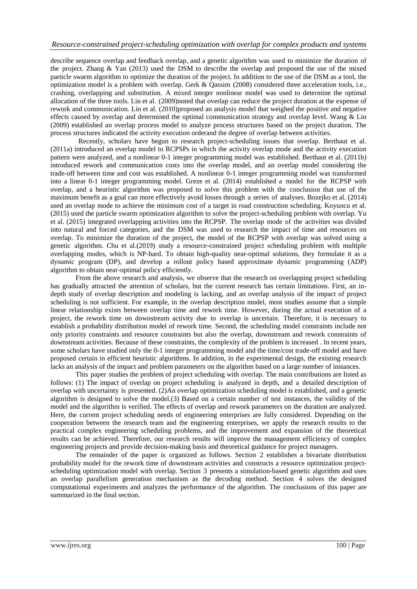describe sequence overlap and feedback overlap, and a genetic algorithm was used to minimize the duration of the project. Zhang & Yan (2013) used the DSM to describe the overlap and proposed the use of the mixed particle swarm algorithm to optimize the duration of the project. In addition to the use of the DSM as a tool, the optimization model is a problem with overlap. Gerk & Qassim (2008) considered three acceleration tools, i.e., crashing, overlapping and substitution. A mixed integer nonlinear model was used to determine the optimal allocation of the three tools. Lin et al. (2009)noted that overlap can reduce the project duration at the expense of rework and communication. Lin et al. (2010)proposed an analysis model that weighed the positive and negative effects caused by overlap and determined the optimal communication strategy and overlap level. Wang & Lin (2009) established an overlap process model to analyze process structures based on the project duration. The process structures indicated the activity execution orderand the degree of overlap between activities.

Recently, scholars have begun to research project-scheduling issues that overlap. Berthaut et al. (2011a) introduced an overlap model to RCPSPs in which the activity overlap mode and the activity execution pattern were analyzed, and a nonlinear 0-1 integer programming model was established. Berthaut et al. (2011b) introduced rework and communication costs into the overlap model, and an overlap model considering the trade-off between time and cost was established. A nonlinear 0-1 integer programming model was transformed into a linear 0-1 integer programming model. Greze et al. (2014) established a model for the RCPSP with overlap, and a heuristic algorithm was proposed to solve this problem with the conclusion that use of the maximum benefit as a goal can more effectively avoid losses through a series of analyses. Bozejko et al. (2014) used an overlap mode to achieve the minimum cost of a target in road construction scheduling. Koyuncu et al. (2015) used the particle swarm optimization algorithm to solve the project-scheduling problem with overlap. Yu et al. (2015) integrated overlapping activities into the RCPSP. The overlap mode of the activities was divided into natural and forced categories, and the DSM was used to research the impact of time and resources on overlap. To minimize the duration of the project, the model of the RCPSP with overlap was solved using a genetic algorithm. Chu et al.(2019) study a resource-constrained project scheduling problem with multiple overlapping modes, which is NP-hard. To obtain high-quality near-optimal solutions, they formulate it as a dynamic program (DP), and develop a rollout policy based approximate dynamic programming (ADP) algorithm to obtain near-optimal policy efficiently.

From the above research and analysis, we observe that the research on overlapping project scheduling has gradually attracted the attention of scholars, but the current research has certain limitations. First, an indepth study of overlap description and modeling is lacking, and an overlap analysis of the impact of project scheduling is not sufficient. For example, in the overlap description model, most studies assume that a simple linear relationship exists between overlap time and rework time. However, during the actual execution of a project, the rework time on downstream activity due to overlap is uncertain. Therefore, it is necessary to establish a probability distribution model of rework time. Second, the scheduling model constraints include not only priority constraints and resource constraints but also the overlap, downstream and rework constraints of downstream activities. Because of these constraints, the complexity of the problem is increased . In recent years, some scholars have studied only the 0-1 integer programming model and the time/cost trade-off model and have proposed certain in efficient heuristic algorithms. In addition, in the experimental design, the existing research lacks an analysis of the impact and problem parameters on the algorithm based on a large number of instances.

This paper studies the problem of project scheduling with overlap. The main contributions are listed as follows: (1) The impact of overlap on project scheduling is analyzed in depth, and a detailed description of overlap with uncertainty is presented. (2)An overlap optimization scheduling model is established, and a genetic algorithm is designed to solve the model.(3) Based on a certain number of test instances, the validity of the model and the algorithm is verified. The effects of overlap and rework parameters on the duration are analyzed. Here, the current project scheduling needs of engineering enterprises are fully considered. Depending on the cooperation between the research team and the engineering enterprises, we apply the research results to the practical complex engineering scheduling problems, and the improvement and expansion of the theoretical results can be achieved. Therefore, our research results will improve the management efficiency of complex engineering projects and provide decision-making basis and theoretical guidance for project managers.

The remainder of the paper is organized as follows. Section 2 establishes a bivariate distribution probability model for the rework time of downstream activities and constructs a resource optimization projectscheduling optimization model with overlap. Section 3 presents a simulation-based genetic algorithm and uses an overlap parallelism generation mechanism as the decoding method. Section 4 solves the designed computational experiments and analyzes the performance of the algorithm. The conclusions of this paper are summarized in the final section.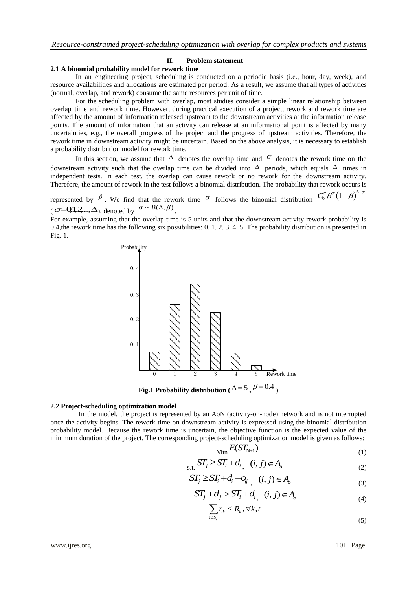#### **II. Problem statement**

# **2.1 A binomial probability model for rework time**

In an engineering project, scheduling is conducted on a periodic basis (i.e., hour, day, week), and resource availabilities and allocations are estimated per period. As a result, we assume that all types of activities (normal, overlap, and rework) consume the same resources per unit of time.

For the scheduling problem with overlap, most studies consider a simple linear relationship between overlap time and rework time. However, during practical execution of a project, rework and rework time are affected by the amount of information released upstream to the downstream activities at the information release points. The amount of information that an activity can release at an informational point is affected by many uncertainties, e.g., the overall progress of the project and the progress of upstream activities. Therefore, the rework time in downstream activity might be uncertain. Based on the above analysis, it is necessary to establish a probability distribution model for rework time.

In this section, we assume that  $\Delta$  denotes the overlap time and  $\sigma$  denotes the rework time on the downstream activity such that the overlap time can be divided into  $\Delta$  periods, which equals  $\Delta$  times in independent tests. In each test, the overlap can cause rework or no rework for the downstream activity. Therefore, the amount of rework in the test follows a binomial distribution. The probability that rework occurs is

represented by  $\beta$ . We find that the rework time  $\sigma$  follows the binomial distribution  $C_0^{\sigma} \beta^{\sigma} (1-\beta)^{\Delta-\sigma}$  $\sigma = Q_1, \Delta, \ldots, \Delta$ , denoted by  $\sigma \sim B(\Delta, \beta)$ .

For example, assuming that the overlap time is 5 units and that the downstream activity rework probability is 0.4, the rework time has the following six possibilities:  $0, 1, 2, 3, 4, 5$ . The probability distribution is presented in Fig. 1.



**Fig.1 Probability distribution** ( $\Delta = 5$ ,  $\beta = 0.4$ )

## **2.2 Project-scheduling optimization model**

In the model, the project is represented by an AoN (activity-on-node) network and is not interrupted once the activity begins. The rework time on downstream activity is expressed using the binomial distribution probability model. Because the rework time is uncertain, the objective function is the expected value of the minimum duration of the project. The corresponding project-scheduling optimization model is given as follows:

$$
\min E(ST_{N+1})\tag{1}
$$

$$
S_{\mathbf{S},\mathbf{L}} S T_j \geq S T_i + d_{i, (i,j) \in A_n} \tag{2}
$$

$$
ST_j \geq ST_i + d_i - o_{ij}, \quad (i, j) \in A_o \tag{3}
$$

$$
ST_j + d_j > ST_i + d_{i_j} \quad (i, j) \in A_o \tag{4}
$$

$$
\sum_{i \in S_t} r_{ik} \le R_k, \forall k, t
$$
\n<sup>(5)</sup>

www.ijres.org 101 | Page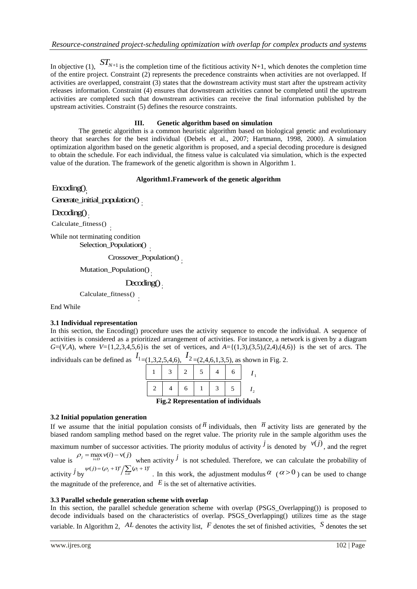In objective (1),  $ST_{N+1}$  is the completion time of the fictitious activity N+1, which denotes the completion time of the entire project. Constraint (2) represents the precedence constraints when activities are not overlapped. If activities are overlapped, constraint (3) states that the downstream activity must start after the upstream activity releases information. Constraint (4) ensures that downstream activities cannot be completed until the upstream activities are completed such that downstream activities can receive the final information published by the upstream activities. Constraint (5) defines the resource constraints.

# **III. Genetic algorithm based on simulation**

The genetic algorithm is a common heuristic algorithm based on biological genetic and evolutionary theory that searches for the best individual (Debels et al., 2007; Hartmann, 1998, 2000). A simulation optimization algorithm based on the genetic algorithm is proposed, and a special decoding procedure is designed to obtain the schedule. For each individual, the fitness value is calculated via simulation, which is the expected value of the duration. The framework of the genetic algorithm is shown in Algorithm 1.

# **Algorithm1.Framework of the genetic algorithm**

Encoding()<sub>;</sub>

Generate\_initial\_population()<sub>;</sub>

 $D\negmedspace\negmedspace\negthinspace\triangleleft\mathit{neg}()$ 

Calculate\_fitness() ;

While not terminating condition

Selection\_Population() :

Crossover\_Population() ;

Mutation\_Population()<sub>;</sub>

Decoding() ;

Calculate\_fitness() ;

End While

## **3.1 Individual representation**

In this section, the Encoding() procedure uses the activity sequence to encode the individual. A sequence of activities is considered as a prioritized arrangement of activities. For instance, a network is given by a diagram *G*=(*V*,*A*), where *V*={1,2,3,4,5,6} is the set of vertices, and  $A = \{(1,3),(3,5),(2,4),(4,6)\}$  is the set of arcs. The

individuals can be defined as  $I_{1=(1,3,2,5,4,6)}$ ,  $I_{2=(2,4,6,1,3,5)}$ , as shown in Fig. 2.

|  |  | $1 \mid 3 \mid 2 \mid 5 \mid 4 \mid$ |  |  |
|--|--|--------------------------------------|--|--|
|  |  |                                      |  |  |

**Fig.2 Representation of individuals** 

# **3.2 Initial population generation**

If we assume that the initial population consists of  $\overline{n}$  individuals, then  $\overline{n}$  activity lists are generated by the biased random sampling method based on the regret value. The priority rule in the sample algorithm uses the maximum number of successor activities. The priority modulus of activity  $\hat{j}$  is denoted by  $v(j)$ , and the regret value is  $P_j = \max_{i \in D} v(i) - v(j)$ when activity  $\dot{j}$  is not scheduled. Therefore, we can calculate the probability of activity *j* by  $\psi(j) = (\rho_j + 1)^s / \sum_{i \in E} (\rho_i + 1)^s$ . In this work, the adjustment modulus  $\alpha$  ( $\alpha > 0$ ) can be used to change the magnitude of the preference, and  $E$  is the set of alternative activities.

## **3.3 Parallel schedule generation scheme with overlap**

In this section, the parallel schedule generation scheme with overlap (PSGS\_Overlapping()) is proposed to decode individuals based on the characteristics of overlap. PSGS\_Overlapping() utilizes time as the stage variable. In Algorithm 2,  $AL$  denotes the activity list,  $F$  denotes the set of finished activities,  $S$  denotes the set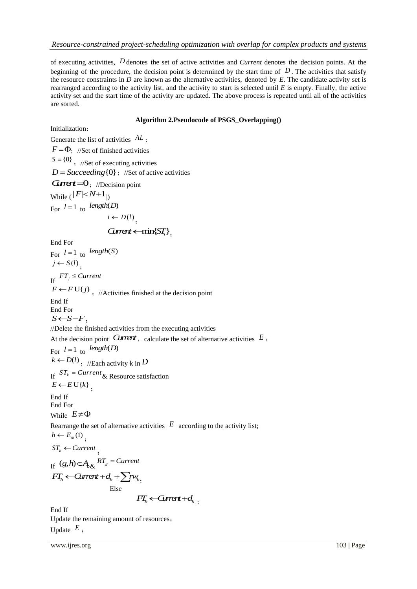of executing activities, *D* denotes the set of active activities and *Current* denotes the decision points. At the beginning of the procedure, the decision point is determined by the start time of  $D$ . The activities that satisfy the resource constraints in *D* are known as the alternative activities, denoted by *E*. The candidate activity set is rearranged according to the activity list, and the activity to start is selected until *E* is empty. Finally, the active activity set and the start time of the activity are updated. The above process is repeated until all of the activities are sorted.

# **Algorithm 2.Pseudocode of PSGS\_Overlapping()**

Initialization:

Generate the list of activities *AL* ;  $F = \Phi$ ; //Set of finished activities  $S = \{0\}$ ; //Set of executing activities  $D = Succeeding\{0\}$ ; //Set of active activities  $G$ *mert* =  $0$ ; //Decision point While  $(|F| < N+1$ <sub>|)</sub> For  $l = 1$  to *length*(*D*)  $i \leftarrow D(l)$ ;  $Current \leftarrow min\{ST_i\}$ End For For  $l = 1$  to *length*(S)  $j \leftarrow S(l)$ ; If  $FT_j \leq Current$  $F \leftarrow F \cup \{j\}$ , //Activities finished at the decision point End If End For  $S \leftarrow S - F$ ; //Delete the finished activities from the executing activities At the decision point *Current*, calculate the set of alternative activities  $E$ ; For  $l = 1$  to *length*(*D*)  $k \leftarrow D(l)$ , //Each activity k in  $D$ If  $ST_k = Current \&$  Resource satisfaction  $E \leftarrow E \cup \{k\}$ ; End If End For While  $E \neq \Phi$ Rearrange the set of alternative activities  $E$  according to the activity list;  $h \leftarrow E_m(1)$ ;  $ST_h \leftarrow Current$ ; If  $(g,h)\in A_{\delta\&}$   $RT_{g}$  = Current  $FT_h \leftarrow$ *Current* +  $d_h$  +  $\sum w_{h_1}$ Else  $FT_h \leftarrow G$ *urent* + $d_h$ <sub>;</sub>

End If Update the remaining amount of resources; Update *E* ;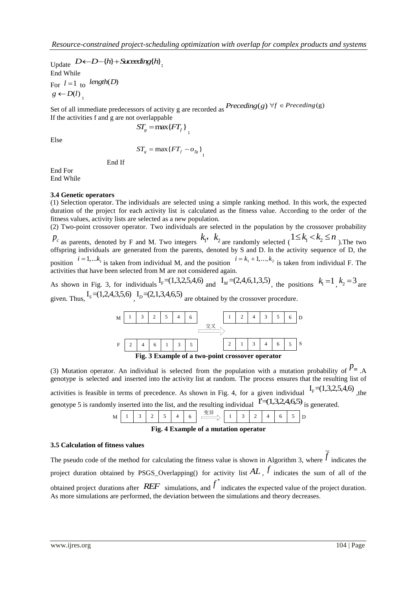Update  $D \leftarrow D - \{h\} + S$ *uceeding* $\{h\}$ , End While For  $l = 1$  to *length*(*D*)  $g \leftarrow D(l)$ ;

Set of all immediate predecessors of activity g are recorded as  $Preceding(g)$   $\forall f \in Preceding(g)$ If the activities f and g are not overlappable

$$
ST_{g} = \max\{FT_{f}\},
$$

Else

$$
ST_{g} = \max\{FT_{f} - o_{fg}\},\
$$

End If

End For End While

# **3.4 Genetic operators**

(1) Selection operator. The individuals are selected using a simple ranking method. In this work, the expected duration of the project for each activity list is calculated as the fitness value. According to the order of the fitness values, activity lists are selected as a new population.

(2) Two-point crossover operator. Two individuals are selected in the population by the crossover probability  $P_c$  as parents, denoted by F and M. Two integers  $k_1$ ,  $k_2$  are randomly selected ( $1 \le k_1 < k_2 \le n$ ). The two offspring individuals are generated from the parents, denoted by S and D. In the activity sequence of D, the position  $i = 1,...k_1$  is taken from individual M, and the position  $i = k_1 + 1,...,k_2$  is taken from individual F. The activities that have been selected from M are not considered again.

As shown in Fig. 3, for individuals  $I_F = (1,3,2,5,4,6)$  and  $I_M = (2,4,6,1,3,5)$ , the positions  $k_1 = 1$ ,  $k_2 = 3$  are given. Thus,  $I_s = (1,2,4,3,5,6)$ ,  $I_p = (2,1,3,4,6,5)$  are obtained by the crossover procedure.



(3) Mutation operator. An individual is selected from the population with a mutation probability of  $P_m$  .A genotype is selected and inserted into the activity list at random. The process ensures that the resulting list of activities is feasible in terms of precedence. As shown in Fig. 4, for a given individual  $I_F = (1,3,2,5,4,6)$ , the genotype 5 is randomly inserted into the list, and the resulting individual  $\Gamma$  =(1,3,2,4,6,5) is generated.



**Fig. 4 Example of a mutation operator**

## **3.5 Calculation of fitness values**

The pseudo code of the method for calculating the fitness value is shown in Algorithm 3, where  $f$  indicates the project duration obtained by PSGS\_Overlapping() for activity list *AL* , *f* indicates the sum of all of the obtained project durations after *REF* simulations, and f<sup>\*</sup> indicates the expected value of the project duration. As more simulations are performed, the deviation between the simulations and theory decreases.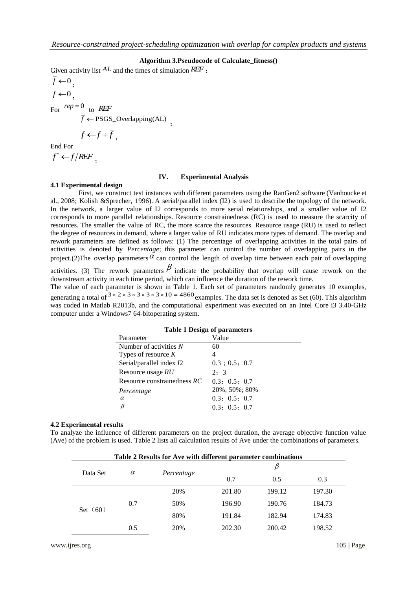## **Algorithm 3.Pseudocode of Calculate\_fitness()**

Given activity list *AL* and the times of simulation *REF* ;

 $f \leftarrow 0$ ;  $f \leftarrow 0$ ; For  $rep = 0$  to REF  $\overline{f}$   $\leftarrow$  PSGS\_Overlapping(AL) ;

$$
f \leftarrow f + \overline{f}
$$

End For

 $f^* \leftarrow f/REF$ <sub>;</sub>

#### **IV. Experimental Analysis**

# **4.1 Experimental design**

First, we construct test instances with different parameters using the RanGen2 software (Vanhoucke et al., 2008; Kolish &Sprecher, 1996). A serial/parallel index (I2) is used to describe the topology of the network. In the network, a larger value of I2 corresponds to more serial relationships, and a smaller value of I2 corresponds to more parallel relationships. Resource constrainedness (RC) is used to measure the scarcity of resources. The smaller the value of RC, the more scarce the resources. Resource usage (RU) is used to reflect the degree of resources in demand, where a larger value of RU indicates more types of demand. The overlap and rework parameters are defined as follows: (1) The percentage of overlapping activities in the total pairs of activities is denoted by *Percentage*; this parameter can control the number of overlapping pairs in the project.(2) The overlap parameters  $\alpha$  can control the length of overlap time between each pair of overlapping

activities. (3) The rework parameters  $\beta$  indicate the probability that overlap will cause rework on the downstream activity in each time period, which can influence the duration of the rework time.

The value of each parameter is shown in Table 1. Each set of parameters randomly generates 10 examples, generating a total of  $3 \times 2 \times 3 \times 3 \times 3 \times 10 = 4860$  examples. The data set is denoted as Set (60). This algorithm was coded in Matlab R2013b, and the computational experiment was executed on an Intel Core i3 3.40-GHz computer under a Windows7 64-bitoperating system.

| <b>Table 1 Design of parameters</b> |                     |  |  |  |  |  |
|-------------------------------------|---------------------|--|--|--|--|--|
| Parameter                           | Value               |  |  |  |  |  |
| Number of activities N              | 60                  |  |  |  |  |  |
| Types of resource $K$               |                     |  |  |  |  |  |
| Serial/parallel index I2            | $0.3$ ; $0.5$ ; 0.7 |  |  |  |  |  |
| Resource usage RU                   | 2:3                 |  |  |  |  |  |
| Resource constrainedness $RC$       | 0.3: 0.5: 0.7       |  |  |  |  |  |
| Percentage                          | 20%; 50%; 80%       |  |  |  |  |  |
| $\alpha$                            | 0.3; 0.5; 0.7       |  |  |  |  |  |
| ß                                   | 0.3; 0.5; 0.7       |  |  |  |  |  |

#### **4.2 Experimental results**

To analyze the influence of different parameters on the project duration, the average objective function value (Ave) of the problem is used. Table 2 lists all calculation results of Ave under the combinations of parameters.

| Table 2 Results for Ave with different parameter combinations |          |            |        |        |        |  |  |
|---------------------------------------------------------------|----------|------------|--------|--------|--------|--|--|
| Data Set                                                      | $\alpha$ |            | B      |        |        |  |  |
|                                                               |          | Percentage | 0.7    | 0.5    | 0.3    |  |  |
|                                                               | 0.7      | 20%        | 201.80 | 199.12 | 197.30 |  |  |
|                                                               |          | 50%        | 196.90 | 190.76 | 184.73 |  |  |
| Set $(60)$                                                    |          | 80%        | 191.84 | 182.94 | 174.83 |  |  |
|                                                               | 0.5      | 20%        | 202.30 | 200.42 | 198.52 |  |  |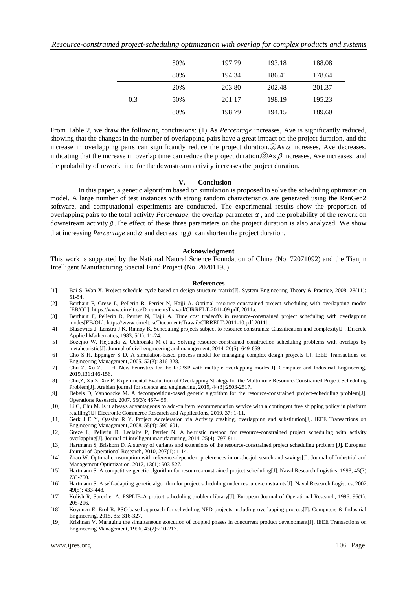| Resource-constrained project-scheduling optimization with overlap for complex products and systems |  |  |  |  |
|----------------------------------------------------------------------------------------------------|--|--|--|--|
|                                                                                                    |  |  |  |  |

|     | 50% | 197.79 | 193.18 | 188.08 |
|-----|-----|--------|--------|--------|
|     | 80% | 194.34 | 186.41 | 178.64 |
|     | 20% | 203.80 | 202.48 | 201.37 |
| 0.3 | 50% | 201.17 | 198.19 | 195.23 |
|     | 80% | 198.79 | 194.15 | 189.60 |

From Table 2, we draw the following conclusions: (1) As *Percentage* increases, Ave is significantly reduced, showing that the changes in the number of overlapping pairs have a great impact on the project duration, and the increase in overlapping pairs can significantly reduce the project duration.  $\circled{a}$ As  $\alpha$  increases, Ave decreases, indicating that the increase in overlap time can reduce the project duration.  $\Im As$   $\beta$  increases, Ave increases, and the probability of rework time for the downstream activity increases the project duration.

#### **V. Conclusion**

In this paper, a genetic algorithm based on simulation is proposed to solve the scheduling optimization model. A large number of test instances with strong random characteristics are generated using the RanGen2 software, and computational experiments are conducted. The experimental results show the proportion of overlapping pairs to the total activity *Percentage*, the overlap parameter  $\alpha$ , and the probability of the rework on downstream activity  $\beta$ . The effect of these three parameters on the project duration is also analyzed. We show that increasing *Percentage* and  $\alpha$  and decreasing  $\beta$  can shorten the project duration.

#### **Acknowledgment**

This work is supported by the National Natural Science Foundation of China (No. 72071092) and the Tianjin Intelligent Manufacturing Special Fund Project (No. 20201195).

#### **References**

- [1] Bai S, Wan X. Project schedule cycle based on design structure matrix[J]. System Engineering Theory & Practice, 2008, 28(11): 51-54.
- [2] Berthaut F, Greze L, Pellerin R, Perrier N, Hajji A. Optimal resource-constrained project scheduling with overlapping modes [EB/OL]. https://www.cirrelt.ca/DocumentsTravail/CIRRELT-2011-09.pdf, 2011a.
- [3] Berthaut F, Pellerin R, Perrier N, Hajji A. Time cost tradeoffs in resource-constrained project scheduling with overlapping modes[EB/OL]. https://www.cirrelt.ca/DocumentsTravail/CIRRELT-2011-10.pdf,2011b.
- [4] Blazewicz J, Lenstra J K, Rinnoy K. Scheduling projects subject to resource constraints: Classification and complexity[J]. Discrete Applied Mathematics, 1983, 5(1): 11-24.
- [5] Bozejko W, Hejducki Z, Uchronski M et al. Solving resource-constrained construction scheduling problems with overlaps by metaheuristic[J]. Journal of civil engineering and management, 2014, 20(5): 649-659.
- [6] Cho S H, Eppinger S D. A simulation-based process model for managing complex design projects [J]. IEEE Transactions on Engineering Management, 2005, 52(3): 316-328.
- [7] Chu Z, Xu Z, Li H. New heuristics for the RCPSP with multiple overlapping modes[J]. Computer and Industrial Engineering, 2019,131:146-156.
- [8] Chu,Z, Xu Z, Xie F. Experimental Evaluation of Overlapping Strategy for the Multimode Resource-Constrained Project Scheduling Problem<sup>[J]</sup>. Arabian journal for science and engineering, 2019, 44(3):2503-2517.
- [9] Debels D, Vanhoucke M. A decomposition-based genetic algorithm for the resource-constrained project-scheduling problem[J]. Operations Research, 2007, 55(3): 457-459.
- [10] Li C, Chu M. Is it always advantageous to add-on item recommendation service with a contingent free shipping policy in platform retailing?[J] Electronic Commerce Research and Applications, 2019, 37: 1-11.
- [11] Gerk J E Y, Qassim R Y. Project Acceleration via Activity crashing, overlapping and substitution[J]. IEEE Transactions on Engineering Management, 2008, 55(4): 590-601.
- [12] Greze L, Pellerin R, Leclaire P, Perrier N. A heuristic method for resource-constrained project scheduling with activity overlapping[J]. Journal of intelligent manufacturing, 2014, 25(4): 797-811.
- [13] Hartmann S, Briskorn D. A survey of variants and extensions of the resource-constrained project scheduling problem [J]. European Journal of Operational Research, 2010, 207(1): 1-14.
- [14] Zhao W. [Optimal consumption with reference-dependent preferences in on-the-job search and savings\[](http://www.aimsciences.org/oes/ar/doArFileDisplay.jsp?qry=746088892a3fbce6bd1cf6636a9bcdfd)J]. Journal of Industrial and Management Optimization, 2017, 13(1): 503-527.
- [15] Hartmann S. A competitive genetic algorithm for resource-constrained project scheduling[J]. Naval Research Logistics, 1998, 45(7): 733-750.
- [16] Hartmann S. A self-adapting genetic algorithm for project scheduling under resource-constraints[J]. Naval Research Logistics, 2002, 49(5): 433-448.
- [17] Kolish R, Sprecher A. PSPLIB-A project scheduling problem library[J]. European Journal of Operational Research, 1996, 96(1): 205-216.
- [18] Koyuncu E, Erol R. PSO based approach for scheduling NPD projects including overlapping process[J]. Computers & Industrial Engineering, 2015, 85: 316-327.
- [19] Krishnan V. Managing the simultaneous execution of coupled phases in concurrent product development[J]. IEEE Transactions on Engineering Management, 1996, 43(2):210-217.